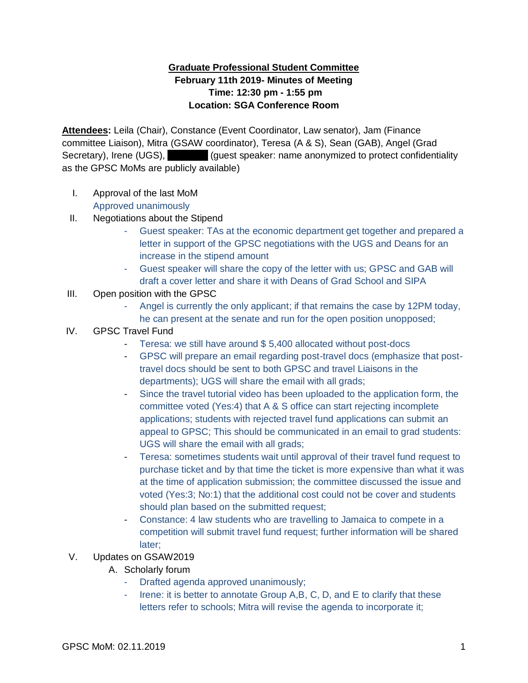## **Graduate Professional Student Committee February 11th 2019- Minutes of Meeting Time: 12:30 pm - 1:55 pm Location: SGA Conference Room**

**Attendees:** Leila (Chair), Constance (Event Coordinator, Law senator), Jam (Finance committee Liaison), Mitra (GSAW coordinator), Teresa (A & S), Sean (GAB), Angel (Grad Secretary), Irene (UGS), **Inc. Administery** (guest speaker: name anonymized to protect confidentiality as the GPSC MoMs are publicly available)

- I. Approval of the last MoM Approved unanimously
- II. Negotiations about the Stipend
	- Guest speaker: TAs at the economic department get together and prepared a letter in support of the GPSC negotiations with the UGS and Deans for an increase in the stipend amount
	- Guest speaker will share the copy of the letter with us; GPSC and GAB will draft a cover letter and share it with Deans of Grad School and SIPA
- III. Open position with the GPSC
	- Angel is currently the only applicant; if that remains the case by 12PM today, he can present at the senate and run for the open position unopposed;
- IV. GPSC Travel Fund
	- Teresa: we still have around \$ 5,400 allocated without post-docs
	- GPSC will prepare an email regarding post-travel docs (emphasize that posttravel docs should be sent to both GPSC and travel Liaisons in the departments); UGS will share the email with all grads;
	- Since the travel tutorial video has been uploaded to the application form, the committee voted (Yes:4) that A & S office can start rejecting incomplete applications; students with rejected travel fund applications can submit an appeal to GPSC; This should be communicated in an email to grad students: UGS will share the email with all grads;
	- Teresa: sometimes students wait until approval of their travel fund request to purchase ticket and by that time the ticket is more expensive than what it was at the time of application submission; the committee discussed the issue and voted (Yes:3; No:1) that the additional cost could not be cover and students should plan based on the submitted request;
	- Constance: 4 law students who are travelling to Jamaica to compete in a competition will submit travel fund request; further information will be shared later;
- V. Updates on GSAW2019
	- A. Scholarly forum
		- Drafted agenda approved unanimously;
		- Irene: it is better to annotate Group A,B, C, D, and E to clarify that these letters refer to schools; Mitra will revise the agenda to incorporate it;